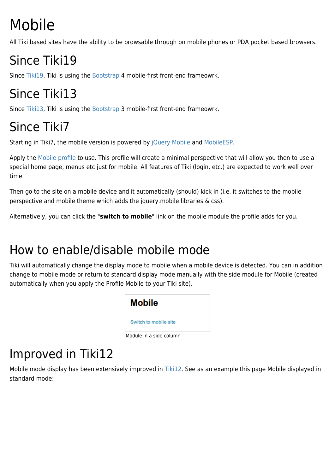# Mobile

All Tiki based sites have the ability to be browsable through on mobile phones or PDA pocket based browsers.

# Since Tiki19

Since [Tiki19,](https://doc.tiki.org/Tiki19) Tiki is using the [Bootstrap](http://themes.tiki.org/Bootstrap) 4 mobile-first front-end frameowrk.

## Since Tiki13

Since [Tiki13,](https://doc.tiki.org/Tiki13) Tiki is using the [Bootstrap](http://themes.tiki.org/Bootstrap) 3 mobile-first front-end frameowrk.

# Since Tiki7

Starting in Tiki7, the mobile version is powered by [jQuery Mobile](http://jquerymobile.com/) and [MobileESP.](http://mobileesp.com/)

Apply the [Mobile profile](http://profiles.tiki.org/Mobile) to use. This profile will create a minimal perspective that will allow you then to use a special home page, menus etc just for mobile. All features of Tiki (login, etc.) are expected to work well over time.

Then go to the site on a mobile device and it automatically (should) kick in (i.e. it switches to the mobile perspective and mobile theme which adds the jquery.mobile libraries & css).

Alternatively, you can click the "**switch to mobile**" link on the mobile module the profile adds for you.

#### How to enable/disable mobile mode

Tiki will automatically change the display mode to mobile when a mobile device is detected. You can in addition change to mobile mode or return to standard display mode manually with the side module for Mobile (created automatically when you apply the Profile Mobile to your Tiki site).



### Improved in Tiki12

Mobile mode display has been extensively improved in [Tiki12.](https://doc.tiki.org/Tiki12) See as an example this page Mobile displayed in standard mode: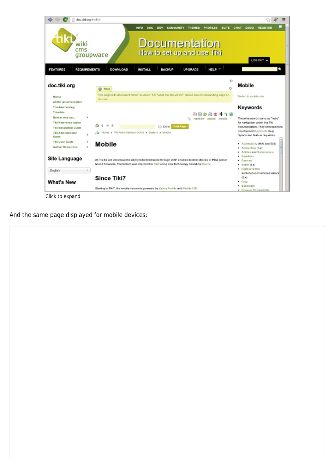

And the same page displayed for mobile devices: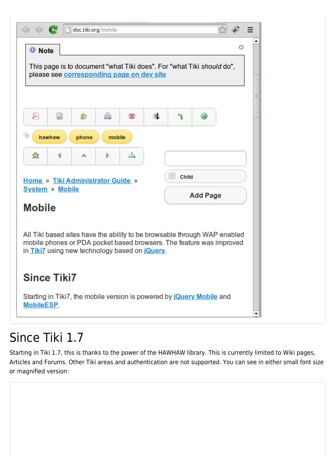| e                                                                                                                                                 | doc.tiki.org/mobile |        |    |    |  |  |   |   |
|---------------------------------------------------------------------------------------------------------------------------------------------------|---------------------|--------|----|----|--|--|---|---|
| <sup>1</sup> Note                                                                                                                                 |                     |        |    |    |  |  | Ø | ▴ |
| This page is to document "what Tiki does". For "what Tiki should do",<br>please see corresponding page on dev site                                |                     |        |    |    |  |  |   |   |
|                                                                                                                                                   |                     |        |    |    |  |  |   | Ξ |
| ₽<br>Ø                                                                                                                                            | Ż                   | A      |    | G) |  |  |   |   |
| hawhaw                                                                                                                                            | phone               | mobile |    |    |  |  |   |   |
| ☎<br>∢                                                                                                                                            | △                   | Þ      | ÷. |    |  |  |   |   |
| Child<br><b>Home » Tiki Administrator Guide »</b>                                                                                                 |                     |        |    |    |  |  |   |   |
| <b>System » Mobile</b><br><b>Add Page</b><br><b>Mobile</b>                                                                                        |                     |        |    |    |  |  |   |   |
|                                                                                                                                                   |                     |        |    |    |  |  |   |   |
| All Tiki based sites have the ability to be browsable through WAP enabled<br>mobile phones or PDA pocket based browsers. The feature was improved |                     |        |    |    |  |  |   |   |
| in Tiki7 using new technology based on jQuery.                                                                                                    |                     |        |    |    |  |  |   |   |
| <b>Since Tiki7</b>                                                                                                                                |                     |        |    |    |  |  |   |   |
| Starting in Tiki7, the mobile version is powered by jouery Mobile and<br>MobileESP.                                                               |                     |        |    |    |  |  |   |   |

#### Since Tiki 1.7

Starting in Tiki 1.7, this is thanks to the power of the HAWHAW library. This is currently limited to Wiki pages, Articles and Forums. Other Tiki areas and authentication are not supported. You can see in either small font size or magnified version: